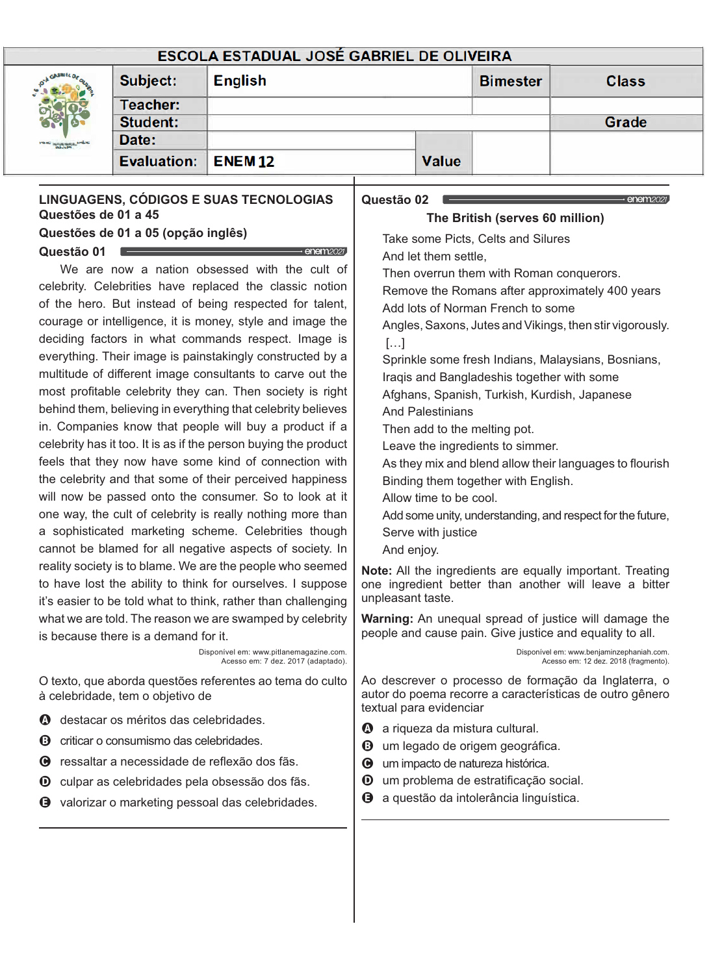#### **ESCOLA ESTADUAL JOSÉ GABRIEL DE OLIVEIRA** Subject: **English Bimester Class** Teacher: Student: Grade Date: **Evaluation: Value ENEM12 LINGUAGENS, CÓDIGOS E SUAS TECNOLOGIAS Questão 02**  $\rightarrow$  enem<sub>2021</sub> **Questões de 01 a 45 The British (serves 60 million) Questões de 01 a 05 (opção inglês)** Take some Picts, Celts and Silures **Questão 01**  $\cdot$  enempope And let them settle. We are now a nation obsessed with the cult of Then overrun them with Roman conquerors. celebrity. Celebrities have replaced the classic notion Remove the Romans after approximately 400 years of the hero. But instead of being respected for talent, Add lots of Norman French to some courage or intelligence, it is money, style and image the Angles, Saxons, Jutes and Vikings, then stir vigorously. deciding factors in what commands respect. Image is  $[...]$ everything. Their image is painstakingly constructed by a Sprinkle some fresh Indians, Malaysians, Bosnians, multitude of different image consultants to carve out the Iraqis and Bangladeshis together with some most profitable celebrity they can. Then society is right Afghans, Spanish, Turkish, Kurdish, Japanese behind them, believing in everything that celebrity believes And Palestinians in. Companies know that people will buy a product if a Then add to the melting pot. celebrity has it too. It is as if the person buying the product Leave the ingredients to simmer. feels that they now have some kind of connection with As they mix and blend allow their languages to flourish the celebrity and that some of their perceived happiness Binding them together with English. will now be passed onto the consumer. So to look at it Allow time to be cool. one way, the cult of celebrity is really nothing more than Add some unity, understanding, and respect for the future, a sophisticated marketing scheme. Celebrities though Serve with justice cannot be blamed for all negative aspects of society. In And enjoy. reality society is to blame. We are the people who seemed **Note:** All the ingredients are equally important. Treating to have lost the ability to think for ourselves. I suppose one ingredient better than another will leave a bitter unpleasant taste. it's easier to be told what to think, rather than challenging what we are told. The reason we are swamped by celebrity **Warning:** An unequal spread of justice will damage the people and cause pain. Give justice and equality to all. is because there is a demand for it. Disponível em: www.pitlanemagazine.com. Disponível em: www.benjaminzephaniah.com. Acesso em: 7 dez. 2017 (adaptado). Acesso em: 12 dez. 2018 (fragmento). O texto, que aborda questões referentes ao tema do culto Ao descrever o processo de formação da Inglaterra, o autor do poema recorre a características de outro gênero à celebridade, tem o objetivo de textual para evidenciar  $\bullet$  destacar os méritos das celebridades.  $\bullet$  a riqueza da mistura cultural. <sup>3</sup> criticar o consumismo das celebridades. **3** um legado de origem geográfica.  $\Theta$  ressaltar a necessidade de reflexão dos fãs.  $\Theta$  um impacto de natureza histórica. <sup>O</sup> um problema de estratificação social.  $\bullet$  culpar as celebridades pela obsessão dos fãs. **+** a questão da intolerância linguística.  $\bullet$  valorizar o marketing pessoal das celebridades.